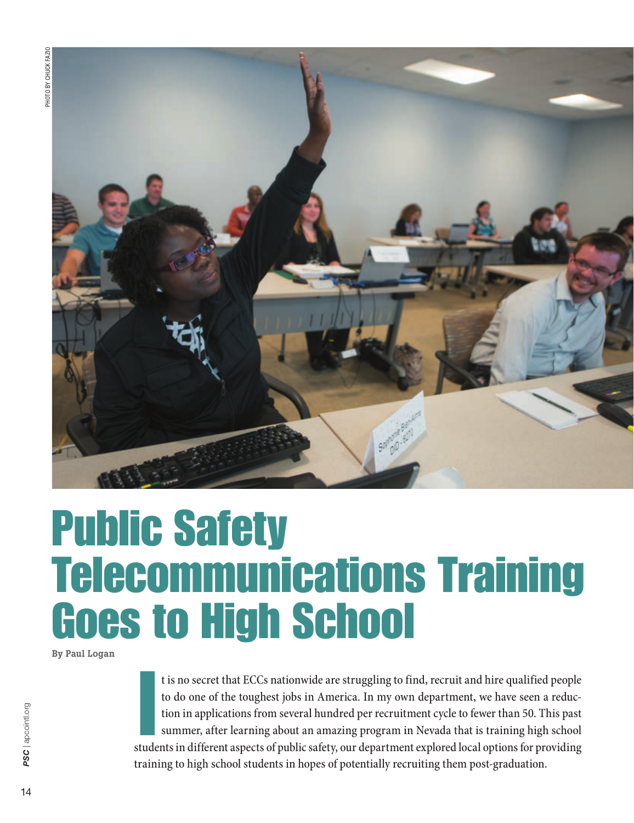

## Public Safety Telecommunications Training Goes to High School

By Paul Logan

It is no secret that ECCs nationwide are struggling to find, recruit and hire qualified people to do one of the toughest jobs in America. In my own department, we have seen a reduction in applications from several hundred t is no secret that ECCs nationwide are struggling to find, recruit and hire qualified people to do one of the toughest jobs in America. In my own department, we have seen a reduction in applications from several hundred per recruitment cycle to fewer than 50. This past summer, after learning about an amazing program in Nevada that is training high school training to high school students in hopes of potentially recruiting them post-graduation.